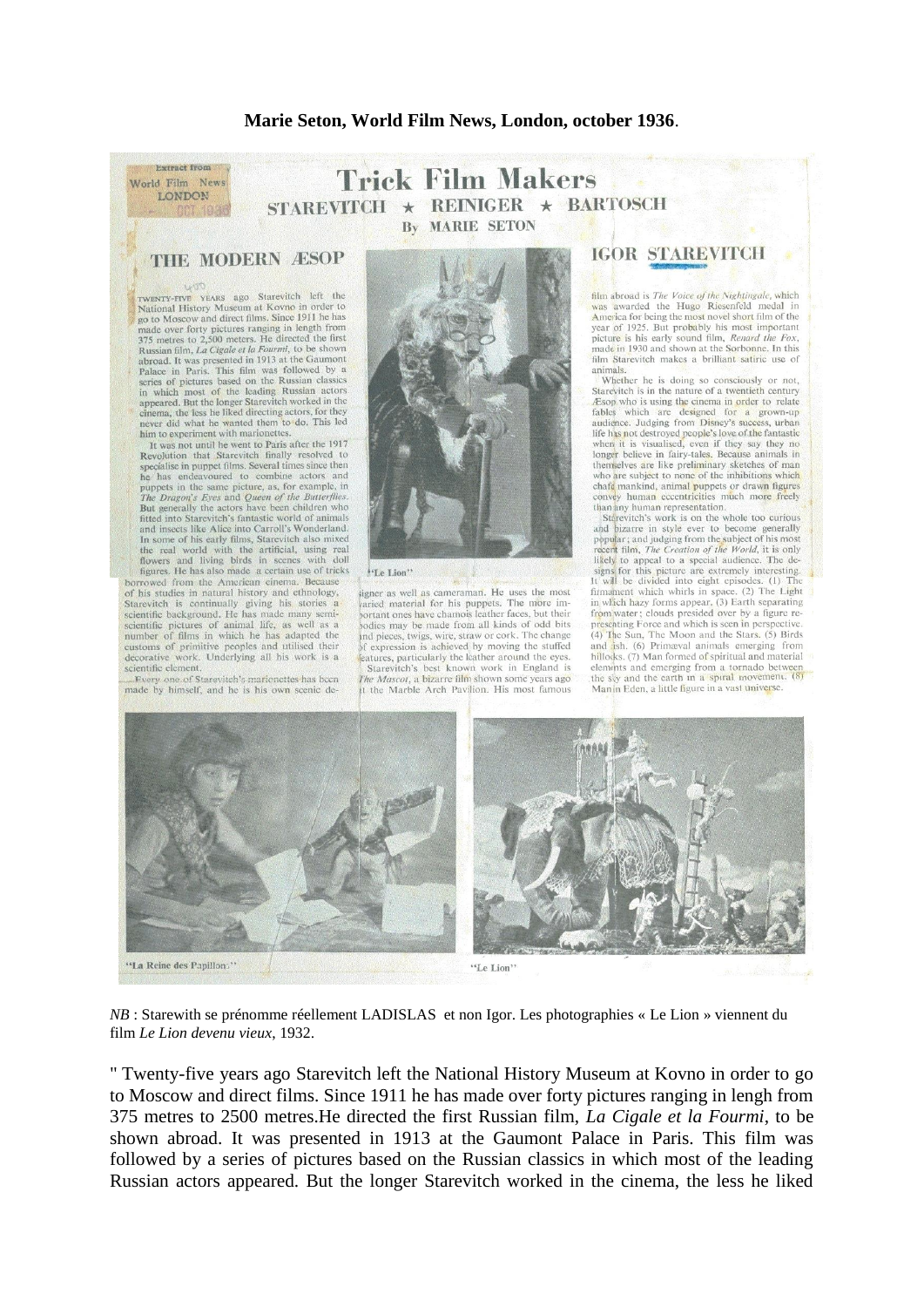## Marie Seton, World Film News, London, october 1936.

## **Trick Film Makers**  $\star$  REINIGER  $\star$  BARTOSCH **STAREVITCH MARIE SETON**  $\mathbf{B}\mathbf{v}$

## **THE MODERN ÆSOP**

Extract from

World Film News LONDON

TWENTY-FIVE YEARS ago Starevitch left the<br>National History Museum at Kovno in order to<br>go to Moscow and direct films. Since 1911 he has go to mossov and uncertainty principles are made over forty pictures ranging in length from<br>375 metres to 2,500 meters. He directed the first Russian film, *La Cigale et la Fourmi*, to be shown Russian inin, *La* Cigate et at routinn, to be successed on the Gauront<br>Palace in Paris. This film was followed by a series of pictures based on the Russian classics<br>in which most of the leading Russian actors<br>appeared. B cinema, the less he liked directing actors, for they<br>never did what he wanted them to do. This led him to experiment with marionettes.

It was not until he went to Paris after the 1917 Revolution that Starcvitch finally resolved to specialise in puppet films. Several times since then<br>he has endeavoured to combine actors and puppets in the same picture, as, for example, in *The Dragon's Eyes* and *Queen of the Butterflies*. But generally the actors have been children who<br>fitted into Starevitch's fantastic world of animals<br>and insects like Alice into Carroll's Wonderland. In some of his early films, Starevitch also mixed<br>the real world with the artificial, using real flowers and living birds in scenes with doll<br>figures. He has also made a certain use of tricks borrowed from the American cinema. Because

of his studies in natural history and ethnology, Starevitch is continually giving his stories a scientific background. He has made many semi-scientific pictures of animal life, as well as a number of films in which he has adapted the customs of primitive peoples and utilised their decorative work. Underlying all his work is a scientific element.

ne of Starevitch's marienettes has been made by himself, and he is his own scenic de-



signer as well as cameraman. He uses the most varied material for his puppets. The more important ones have chamois leather faces, but their<br>bodies may be made from all kinds of odd bits ind pieces, twigs, wire, straw or cork. The change of expression is achieved by moving the stuffed expression articularly the leather around the eyes.<br>Starevitch's best known work in England is The Masont a hizarra film shown some years 200 It the Marble Arch Pavilion. His most famous

## **IGOR STAREVITCH**

film abroad is *The Voice of the Nightingale*, which<br>was awarded the Hugo Riesenfeld medal in America for being the most novel short film of the<br>year of 1925. But probably his most important picture is his early sound film. Renard the Fox. made in 1930 and shown at the Sorbonne. In this film Starevitch makes a brilliant satiric use of animals

Whether he is doing so consciously or not, Starevitch is in the nature of a twentieth century Esop who is using the cinema in order to relate fables which are designed for a grown-up audience. Judging from Disney's success, urban life has not destroyed people's love of the fantastic<br>when it is visualised, even if they say they no<br>longer believe in fairy-tales. Because animals in themselves are like preliminary sketches of man<br>who are subject to none of the inhibitions which chafe mankind, animal puppets or drawn figures human eccentricities much more freely than any human representation.

Starevitch's work is on the whole too curious<br>and bizarre in style ever to become generally popular; and judging from the subject of his most recent film, The Creation of the World, it is only likely to appeal to a special audience. The designs for this picture are extremely interesting.<br>t will be divided into eight episodes. (1) The firmament which whirls in space. (2) The Light<br>in wlich hazy forms appear. (3) Earth separating from water; clouds presided over by a figure re-(4) The Sun. The Moon and the Stars, (5) Birds ish. (6) Primæval animals emerging hillocks. (7) Man formed of spiritual and material hillocks. (7) Man formed of spiritual and material<br>elements and emerging from a tornado between Manin Eden, a little figure in a vast universe.



 $NB$ : Starewith se prénomme réellement LADISLAS et non Igor. Les photographies « Le Lion » viennent du film Le Lion devenu vieux, 1932.

" Twenty-five years ago Starevitch left the National History Museum at Kovno in order to go to Moscow and direct films. Since 1911 he has made over forty pictures ranging in lengh from 375 metres to 2500 metres. He directed the first Russian film, La Cigale et la Fourmi, to be shown abroad. It was presented in 1913 at the Gaumont Palace in Paris. This film was followed by a series of pictures based on the Russian classics in which most of the leading Russian actors appeared. But the longer Starevitch worked in the cinema, the less he liked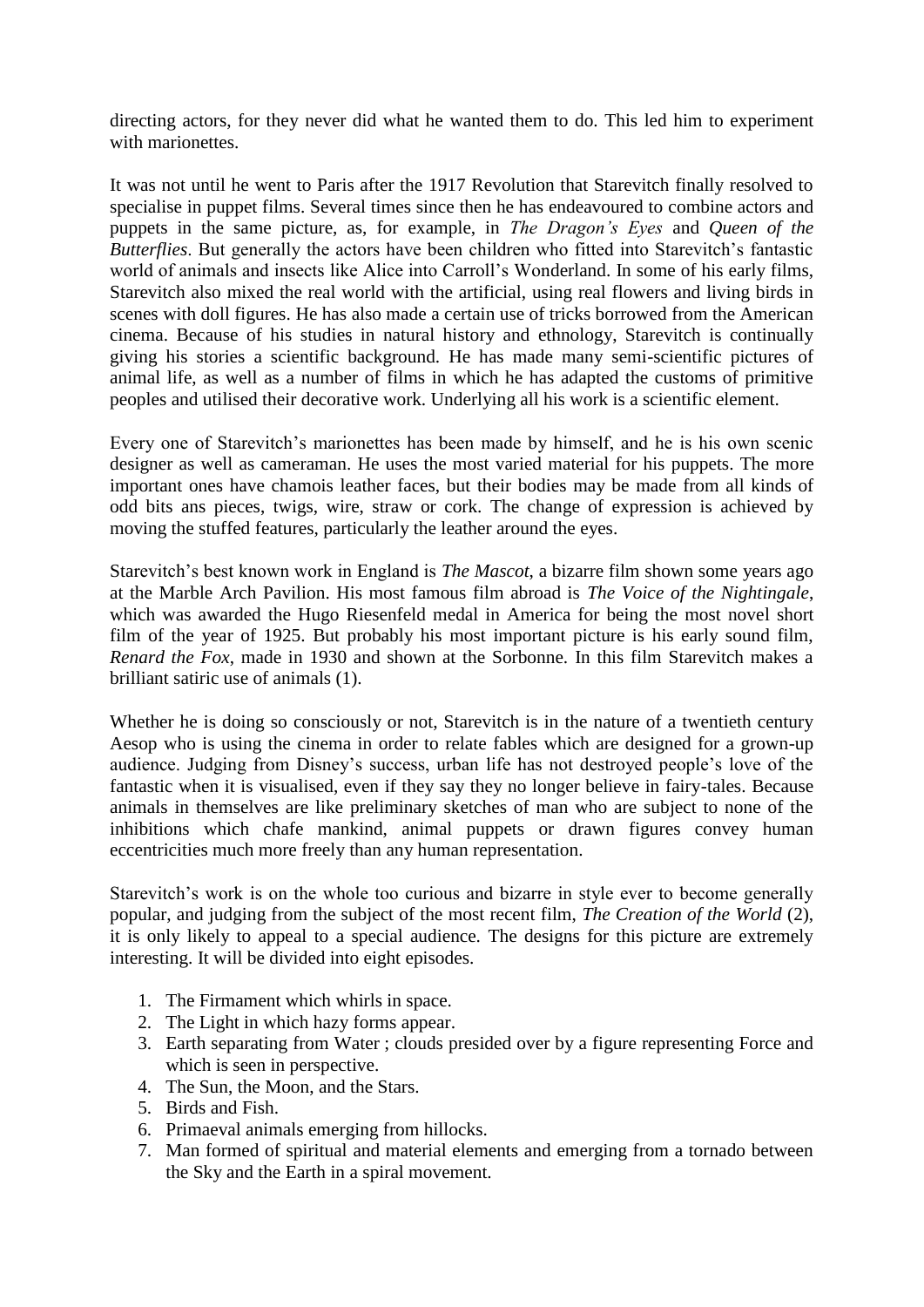directing actors, for they never did what he wanted them to do. This led him to experiment with marionettes

It was not until he went to Paris after the 1917 Revolution that Starevitch finally resolved to specialise in puppet films. Several times since then he has endeavoured to combine actors and puppets in the same picture, as, for example, in *The Dragon's Eyes* and *Queen of the Butterflies*. But generally the actors have been children who fitted into Starevitch's fantastic world of animals and insects like Alice into Carroll's Wonderland. In some of his early films, Starevitch also mixed the real world with the artificial, using real flowers and living birds in scenes with doll figures. He has also made a certain use of tricks borrowed from the American cinema. Because of his studies in natural history and ethnology, Starevitch is continually giving his stories a scientific background. He has made many semi-scientific pictures of animal life, as well as a number of films in which he has adapted the customs of primitive peoples and utilised their decorative work. Underlying all his work is a scientific element.

Every one of Starevitch's marionettes has been made by himself, and he is his own scenic designer as well as cameraman. He uses the most varied material for his puppets. The more important ones have chamois leather faces, but their bodies may be made from all kinds of odd bits ans pieces, twigs, wire, straw or cork. The change of expression is achieved by moving the stuffed features, particularly the leather around the eyes.

Starevitch's best known work in England is *The Mascot*, a bizarre film shown some years ago at the Marble Arch Pavilion. His most famous film abroad is *The Voice of the Nightingale*, which was awarded the Hugo Riesenfeld medal in America for being the most novel short film of the year of 1925. But probably his most important picture is his early sound film, *Renard the Fox*, made in 1930 and shown at the Sorbonne. In this film Starevitch makes a brilliant satiric use of animals (1).

Whether he is doing so consciously or not, Starevitch is in the nature of a twentieth century Aesop who is using the cinema in order to relate fables which are designed for a grown-up audience. Judging from Disney's success, urban life has not destroyed people's love of the fantastic when it is visualised, even if they say they no longer believe in fairy-tales. Because animals in themselves are like preliminary sketches of man who are subject to none of the inhibitions which chafe mankind, animal puppets or drawn figures convey human eccentricities much more freely than any human representation.

Starevitch's work is on the whole too curious and bizarre in style ever to become generally popular, and judging from the subject of the most recent film, *The Creation of the World* (2), it is only likely to appeal to a special audience. The designs for this picture are extremely interesting. It will be divided into eight episodes.

- 1. The Firmament which whirls in space.
- 2. The Light in which hazy forms appear.
- 3. Earth separating from Water ; clouds presided over by a figure representing Force and which is seen in perspective.
- 4. The Sun, the Moon, and the Stars.
- 5. Birds and Fish.
- 6. Primaeval animals emerging from hillocks.
- 7. Man formed of spiritual and material elements and emerging from a tornado between the Sky and the Earth in a spiral movement.